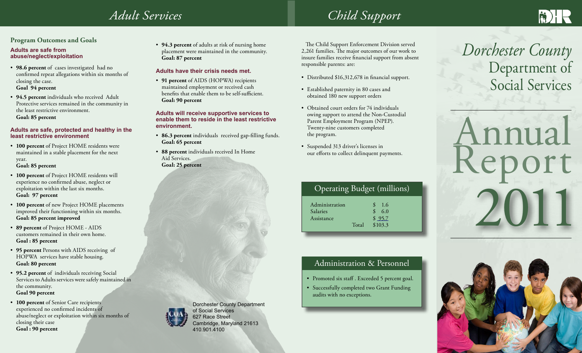## *Adult Services*

## **Program Outcomes and Goals**

### **Adults are safe from abuse/neglect/exploitation**

- **98.6 percent** of cases investigated had no confirmed repeat allegations within six months of closing the case. **Goal 94 percent**
- **94.5 percent** individuals who received Adult Protective services remained in the community in the least restrictive environment. **Goal: 85 percent**

### **Adults are safe, protected and healthy in the least restrictive environment**

• **100 percent** of Project HOME residents were maintained in a stable placement for the next year.

#### **Goal: 85 percent**

- **100 percent** of Project HOME residents will experience no confirmed abuse, neglect or exploitation within the last six months. **Goal: 97 percent**
- **100 percent** of new Project HOME placements improved their functioning within six months. **Goal: 85 percent improved**
- **89 percent** of Project HOME AIDS customers remained in their own home. **Goal : 85 percent**
- **95 percent** Persons with AIDS receiving of HOPWA services have stable housing. **Goal: 80 percent**
- **95.2 percent** of individuals receiving Social Services to Adults services were safely maintained in the community. **Goal 90 percent**
- **100 percent** of Senior Care recipients experienced no confirmed incidents of abuse/neglect or exploitation within six months of closing their case

**Goal : 90 percent** 



• **94.3 percent** of adults at risk of nursing home placement were maintained in the community. **Goal: 87 percent**

## **Adults have their crisis needs met.**

• **91 percent** of AIDS (HOPWA) recipients maintained employment or received cash benefits that enable them to be self-sufficient. **Goal: 90 percent**

#### **Adults will receive supportive services to enable them to reside in the least restrictive environment.**

- **86.3 percent** individuals received gap-filling funds. **Goal: 65 percent**
- **88 percent** individuals received In Home Aid Services. **Goal: 25 percent**



Dorchester County Department of Social Services 627 Race Street Cambridge, Maryland 21613 410.901.4100

# *Child Support*

 The Child Support Enforcement Division served 2,261 families. The major outcomes of our work to insure families receive financial support from absent responsible parents: are:

- Distributed \$16,312,678 in financial support.
- Established paternity in 80 cases and obtained 180 new support orders
- Obtained court orders for 74 individuals owing support to attend the Non-Custodial Parent Employment Program (NPEP). Twenty-nine customers completed the program.
- Suspended 313 driver's licenses in our efforts to collect delinquent payments.

| Operating Budget (millions) |  |
|-----------------------------|--|

| Administration |       | 1.6     |
|----------------|-------|---------|
| Salaries       |       | 6.0     |
| Assistance     |       | \$95.7  |
|                | Total | \$103.3 |
|                |       |         |

## Administration & Personnel

- Promoted six staff . Exceeded 5 percent goal.
- Successfully completed two Grant Funding audits with no exceptions.

# *Dorchester County*  Department of Social Services

# 2011 Annual eport